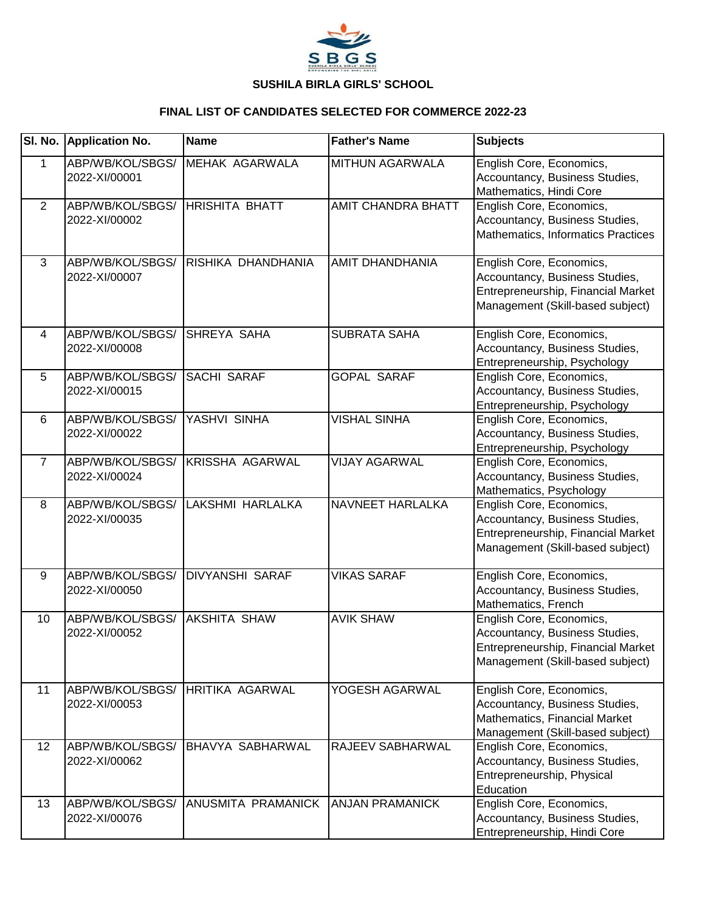

|                 | SI. No. Application No.           | <b>Name</b>             | <b>Father's Name</b>      | <b>Subjects</b>                                                                                                                      |
|-----------------|-----------------------------------|-------------------------|---------------------------|--------------------------------------------------------------------------------------------------------------------------------------|
| $\mathbf 1$     | ABP/WB/KOL/SBGS/<br>2022-XI/00001 | MEHAK AGARWALA          | MITHUN AGARWALA           | English Core, Economics,<br>Accountancy, Business Studies,<br>Mathematics, Hindi Core                                                |
| 2               | ABP/WB/KOL/SBGS/<br>2022-XI/00002 | <b>HRISHITA BHATT</b>   | <b>AMIT CHANDRA BHATT</b> | English Core, Economics,<br>Accountancy, Business Studies,<br>Mathematics, Informatics Practices                                     |
| 3               | ABP/WB/KOL/SBGS/<br>2022-XI/00007 | RISHIKA DHANDHANIA      | AMIT DHANDHANIA           | English Core, Economics,<br>Accountancy, Business Studies,<br>Entrepreneurship, Financial Market<br>Management (Skill-based subject) |
| 4               | ABP/WB/KOL/SBGS/<br>2022-XI/00008 | <b>SHREYA SAHA</b>      | <b>SUBRATA SAHA</b>       | English Core, Economics,<br>Accountancy, Business Studies,<br>Entrepreneurship, Psychology                                           |
| 5               | ABP/WB/KOL/SBGS/<br>2022-XI/00015 | <b>SACHI SARAF</b>      | <b>GOPAL SARAF</b>        | English Core, Economics,<br>Accountancy, Business Studies,<br>Entrepreneurship, Psychology                                           |
| 6               | ABP/WB/KOL/SBGS/<br>2022-XI/00022 | YASHVI SINHA            | <b>VISHAL SINHA</b>       | English Core, Economics,<br>Accountancy, Business Studies,<br>Entrepreneurship, Psychology                                           |
| $\overline{7}$  | ABP/WB/KOL/SBGS/<br>2022-XI/00024 | <b>KRISSHA AGARWAL</b>  | <b>VIJAY AGARWAL</b>      | English Core, Economics,<br>Accountancy, Business Studies,<br>Mathematics, Psychology                                                |
| 8               | ABP/WB/KOL/SBGS/<br>2022-XI/00035 | LAKSHMI HARLALKA        | NAVNEET HARLALKA          | English Core, Economics,<br>Accountancy, Business Studies,<br>Entrepreneurship, Financial Market<br>Management (Skill-based subject) |
| 9               | ABP/WB/KOL/SBGS/<br>2022-XI/00050 | <b>DIVYANSHI SARAF</b>  | <b>VIKAS SARAF</b>        | English Core, Economics,<br>Accountancy, Business Studies,<br>Mathematics, French                                                    |
| 10              | ABP/WB/KOL/SBGS/<br>2022-XI/00052 | <b>AKSHITA SHAW</b>     | <b>AVIK SHAW</b>          | English Core, Economics,<br>Accountancy, Business Studies,<br>Entrepreneurship, Financial Market<br>Management (Skill-based subject) |
| 11              | ABP/WB/KOL/SBGS/<br>2022-XI/00053 | <b>HRITIKA AGARWAL</b>  | YOGESH AGARWAL            | English Core, Economics,<br>Accountancy, Business Studies,<br>Mathematics, Financial Market<br>Management (Skill-based subject)      |
| 12 <sup>2</sup> | ABP/WB/KOL/SBGS/<br>2022-XI/00062 | <b>BHAVYA SABHARWAL</b> | RAJEEV SABHARWAL          | English Core, Economics,<br>Accountancy, Business Studies,<br>Entrepreneurship, Physical<br>Education                                |
| 13              | ABP/WB/KOL/SBGS/<br>2022-XI/00076 | ANUSMITA PRAMANICK      | <b>ANJAN PRAMANICK</b>    | English Core, Economics,<br>Accountancy, Business Studies,<br>Entrepreneurship, Hindi Core                                           |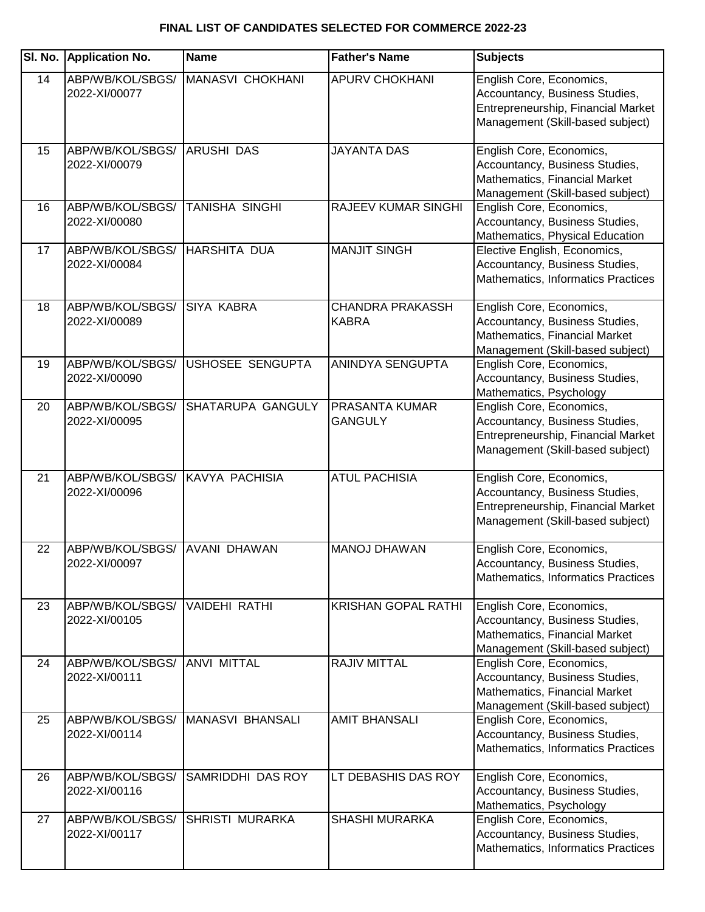|    | SI. No. Application No.           | <b>Name</b>             | <b>Father's Name</b>                    | <b>Subjects</b>                                                                                                                      |
|----|-----------------------------------|-------------------------|-----------------------------------------|--------------------------------------------------------------------------------------------------------------------------------------|
| 14 | ABP/WB/KOL/SBGS/<br>2022-XI/00077 | MANASVI CHOKHANI        | <b>APURV CHOKHANI</b>                   | English Core, Economics,<br>Accountancy, Business Studies,<br>Entrepreneurship, Financial Market<br>Management (Skill-based subject) |
| 15 | ABP/WB/KOL/SBGS/<br>2022-XI/00079 | <b>ARUSHI DAS</b>       | <b>JAYANTA DAS</b>                      | English Core, Economics,<br>Accountancy, Business Studies,<br>Mathematics, Financial Market<br>Management (Skill-based subject)      |
| 16 | ABP/WB/KOL/SBGS/<br>2022-XI/00080 | TANISHA SINGHI          | <b>RAJEEV KUMAR SINGHI</b>              | English Core, Economics,<br>Accountancy, Business Studies,<br>Mathematics, Physical Education                                        |
| 17 | ABP/WB/KOL/SBGS/<br>2022-XI/00084 | <b>HARSHITA DUA</b>     | <b>MANJIT SINGH</b>                     | Elective English, Economics,<br>Accountancy, Business Studies,<br>Mathematics, Informatics Practices                                 |
| 18 | ABP/WB/KOL/SBGS/<br>2022-XI/00089 | <b>SIYA KABRA</b>       | <b>CHANDRA PRAKASSH</b><br><b>KABRA</b> | English Core, Economics,<br>Accountancy, Business Studies,<br>Mathematics, Financial Market<br>Management (Skill-based subject)      |
| 19 | ABP/WB/KOL/SBGS/<br>2022-XI/00090 | <b>USHOSEE SENGUPTA</b> | ANINDYA SENGUPTA                        | English Core, Economics,<br>Accountancy, Business Studies,<br>Mathematics, Psychology                                                |
| 20 | ABP/WB/KOL/SBGS/<br>2022-XI/00095 | SHATARUPA GANGULY       | <b>PRASANTA KUMAR</b><br><b>GANGULY</b> | English Core, Economics,<br>Accountancy, Business Studies,<br>Entrepreneurship, Financial Market<br>Management (Skill-based subject) |
| 21 | ABP/WB/KOL/SBGS/<br>2022-XI/00096 | KAVYA PACHISIA          | <b>ATUL PACHISIA</b>                    | English Core, Economics,<br>Accountancy, Business Studies,<br>Entrepreneurship, Financial Market<br>Management (Skill-based subject) |
| 22 | ABP/WB/KOL/SBGS/<br>2022-XI/00097 | <b>AVANI DHAWAN</b>     | <b>MANOJ DHAWAN</b>                     | English Core, Economics,<br>Accountancy, Business Studies,<br>Mathematics, Informatics Practices                                     |
| 23 | ABP/WB/KOL/SBGS/<br>2022-XI/00105 | <b>VAIDEHI RATHI</b>    | <b>KRISHAN GOPAL RATHI</b>              | English Core, Economics,<br>Accountancy, Business Studies,<br>Mathematics, Financial Market<br>Management (Skill-based subject)      |
| 24 | ABP/WB/KOL/SBGS/<br>2022-XI/00111 | <b>ANVI MITTAL</b>      | <b>RAJIV MITTAL</b>                     | English Core, Economics,<br>Accountancy, Business Studies,<br>Mathematics, Financial Market<br>Management (Skill-based subject)      |
| 25 | ABP/WB/KOL/SBGS/<br>2022-XI/00114 | <b>MANASVI BHANSALI</b> | <b>AMIT BHANSALI</b>                    | English Core, Economics,<br>Accountancy, Business Studies,<br>Mathematics, Informatics Practices                                     |
| 26 | ABP/WB/KOL/SBGS/<br>2022-XI/00116 | SAMRIDDHI DAS ROY       | LT DEBASHIS DAS ROY                     | English Core, Economics,<br>Accountancy, Business Studies,<br>Mathematics, Psychology                                                |
| 27 | ABP/WB/KOL/SBGS/<br>2022-XI/00117 | <b>SHRISTI MURARKA</b>  | <b>SHASHI MURARKA</b>                   | English Core, Economics,<br>Accountancy, Business Studies,<br>Mathematics, Informatics Practices                                     |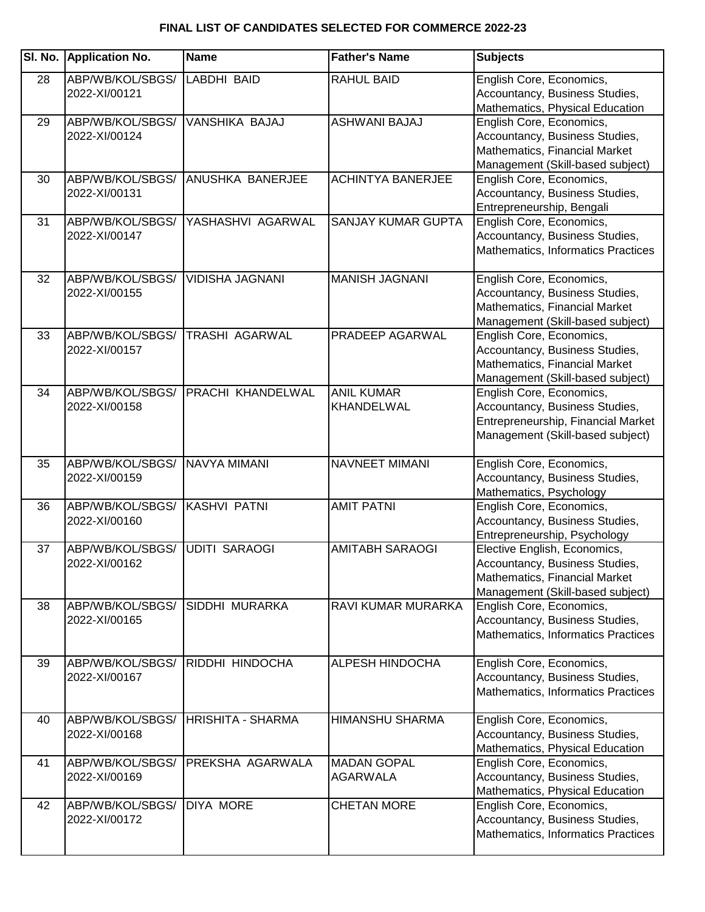| SI. No. | <b>Application No.</b>            | <b>Name</b>              | <b>Father's Name</b>                  | <b>Subjects</b>                                                                                                                      |
|---------|-----------------------------------|--------------------------|---------------------------------------|--------------------------------------------------------------------------------------------------------------------------------------|
| 28      | ABP/WB/KOL/SBGS/<br>2022-XI/00121 | LABDHI BAID              | <b>RAHUL BAID</b>                     | English Core, Economics,<br>Accountancy, Business Studies,<br>Mathematics, Physical Education                                        |
| 29      | ABP/WB/KOL/SBGS/<br>2022-XI/00124 | VANSHIKA BAJAJ           | ASHWANI BAJAJ                         | English Core, Economics,<br>Accountancy, Business Studies,<br>Mathematics, Financial Market<br>Management (Skill-based subject)      |
| 30      | ABP/WB/KOL/SBGS/<br>2022-XI/00131 | ANUSHKA BANERJEE         | <b>ACHINTYA BANERJEE</b>              | English Core, Economics,<br>Accountancy, Business Studies,<br>Entrepreneurship, Bengali                                              |
| 31      | ABP/WB/KOL/SBGS/<br>2022-XI/00147 | YASHASHVI AGARWAL        | <b>SANJAY KUMAR GUPTA</b>             | English Core, Economics,<br>Accountancy, Business Studies,<br>Mathematics, Informatics Practices                                     |
| 32      | ABP/WB/KOL/SBGS/<br>2022-XI/00155 | <b>VIDISHA JAGNANI</b>   | <b>MANISH JAGNANI</b>                 | English Core, Economics,<br>Accountancy, Business Studies,<br>Mathematics, Financial Market<br>Management (Skill-based subject)      |
| 33      | ABP/WB/KOL/SBGS/<br>2022-XI/00157 | <b>TRASHI AGARWAL</b>    | PRADEEP AGARWAL                       | English Core, Economics,<br>Accountancy, Business Studies,<br>Mathematics, Financial Market<br>Management (Skill-based subject)      |
| 34      | ABP/WB/KOL/SBGS/<br>2022-XI/00158 | PRACHI KHANDELWAL        | <b>ANIL KUMAR</b><br>KHANDELWAL       | English Core, Economics,<br>Accountancy, Business Studies,<br>Entrepreneurship, Financial Market<br>Management (Skill-based subject) |
| 35      | ABP/WB/KOL/SBGS/<br>2022-XI/00159 | <b>NAVYA MIMANI</b>      | NAVNEET MIMANI                        | English Core, Economics,<br>Accountancy, Business Studies,<br>Mathematics, Psychology                                                |
| 36      | ABP/WB/KOL/SBGS/<br>2022-XI/00160 | <b>KASHVI PATNI</b>      | <b>AMIT PATNI</b>                     | English Core, Economics,<br>Accountancy, Business Studies,<br>Entrepreneurship, Psychology                                           |
| 37      | ABP/WB/KOL/SBGS/<br>2022-XI/00162 | <b>UDITI SARAOGI</b>     | <b>AMITABH SARAOGI</b>                | Elective English, Economics,<br>Accountancy, Business Studies,<br>Mathematics, Financial Market<br>Management (Skill-based subject)  |
| 38      | ABP/WB/KOL/SBGS/<br>2022-XI/00165 | <b>SIDDHI MURARKA</b>    | RAVI KUMAR MURARKA                    | English Core, Economics,<br>Accountancy, Business Studies,<br>Mathematics, Informatics Practices                                     |
| 39      | ABP/WB/KOL/SBGS/<br>2022-XI/00167 | RIDDHI HINDOCHA          | <b>ALPESH HINDOCHA</b>                | English Core, Economics,<br>Accountancy, Business Studies,<br>Mathematics, Informatics Practices                                     |
| 40      | ABP/WB/KOL/SBGS/<br>2022-XI/00168 | <b>HRISHITA - SHARMA</b> | HIMANSHU SHARMA                       | English Core, Economics,<br>Accountancy, Business Studies,<br>Mathematics, Physical Education                                        |
| 41      | ABP/WB/KOL/SBGS/<br>2022-XI/00169 | PREKSHA AGARWALA         | <b>MADAN GOPAL</b><br><b>AGARWALA</b> | English Core, Economics,<br>Accountancy, Business Studies,<br>Mathematics, Physical Education                                        |
| 42      | ABP/WB/KOL/SBGS/<br>2022-XI/00172 | <b>DIYA MORE</b>         | <b>CHETAN MORE</b>                    | English Core, Economics,<br>Accountancy, Business Studies,<br>Mathematics, Informatics Practices                                     |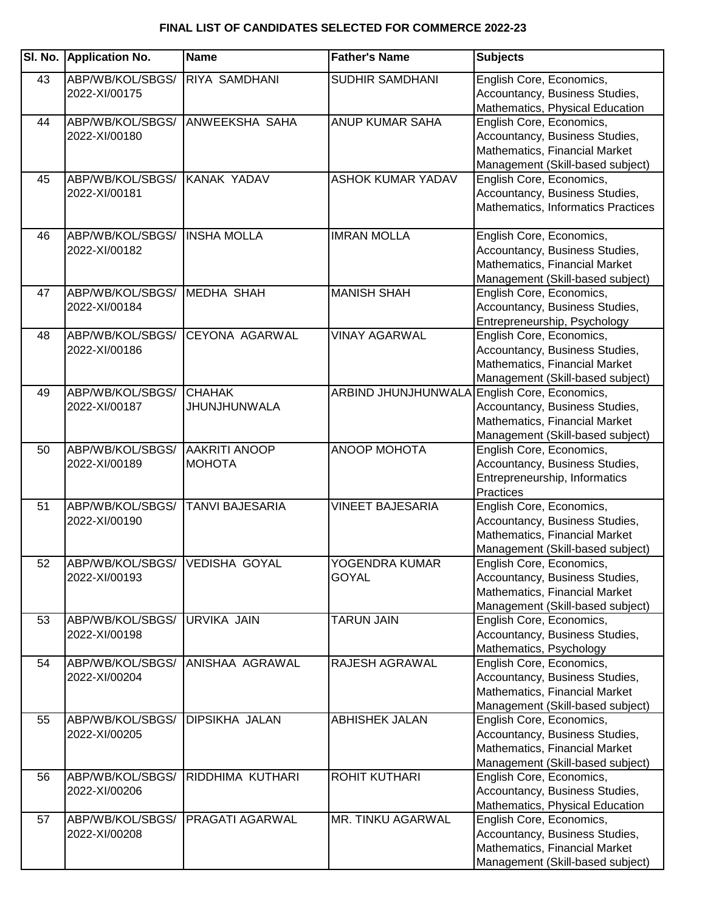| ABP/WB/KOL/SBGS/<br><b>RIYA SAMDHANI</b><br>SUDHIR SAMDHANI<br>English Core, Economics,<br>43<br>2022-XI/00175<br>Accountancy, Business Studies,<br>Mathematics, Physical Education<br><b>ANUP KUMAR SAHA</b><br>English Core, Economics,<br>ABP/WB/KOL/SBGS/<br><b>ANWEEKSHA SAHA</b><br>44<br>Accountancy, Business Studies,<br>2022-XI/00180<br>Mathematics, Financial Market<br>Management (Skill-based subject)<br>English Core, Economics,<br>ABP/WB/KOL/SBGS/<br>KANAK YADAV<br><b>ASHOK KUMAR YADAV</b><br>45<br>Accountancy, Business Studies,<br>2022-XI/00181<br>Mathematics, Informatics Practices<br><b>IMRAN MOLLA</b><br><b>INSHA MOLLA</b><br>English Core, Economics,<br>46<br>ABP/WB/KOL/SBGS/<br>Accountancy, Business Studies,<br>2022-XI/00182<br>Mathematics, Financial Market<br>Management (Skill-based subject)<br>ABP/WB/KOL/SBGS/<br><b>MANISH SHAH</b><br>English Core, Economics,<br><b>IMEDHA SHAH</b><br>47<br>Accountancy, Business Studies,<br>2022-XI/00184<br>Entrepreneurship, Psychology<br>ABP/WB/KOL/SBGS/<br><b>CEYONA AGARWAL</b><br><b>VINAY AGARWAL</b><br>English Core, Economics,<br>48<br>Accountancy, Business Studies,<br>2022-XI/00186<br>Mathematics, Financial Market<br>Management (Skill-based subject)<br>ARBIND JHUNJHUNWALA<br>ABP/WB/KOL/SBGS/<br><b>CHAHAK</b><br>English Core, Economics,<br>49<br><b>JHUNJHUNWALA</b><br>Accountancy, Business Studies,<br>2022-XI/00187<br>Mathematics, Financial Market<br>Management (Skill-based subject)<br><b>AAKRITI ANOOP</b><br><b>ANOOP MOHOTA</b><br>English Core, Economics,<br>ABP/WB/KOL/SBGS/<br>50<br>Accountancy, Business Studies,<br>2022-XI/00189<br><b>MOHOTA</b><br>Entrepreneurship, Informatics<br>Practices<br><b>VINEET BAJESARIA</b><br>English Core, Economics,<br>ABP/WB/KOL/SBGS/<br><b>TANVI BAJESARIA</b><br>51<br>Accountancy, Business Studies,<br>2022-XI/00190<br>Mathematics, Financial Market<br>Management (Skill-based subject)<br>ABP/WB/KOL/SBGS/ VEDISHA GOYAL<br>YOGENDRA KUMAR<br>52<br>English Core, Economics,<br>Accountancy, Business Studies,<br>2022-XI/00193<br>GOYAL<br>Mathematics, Financial Market<br>Management (Skill-based subject)<br><b>TARUN JAIN</b><br>English Core, Economics,<br>ABP/WB/KOL/SBGS/<br><b>URVIKA JAIN</b><br>53<br>Accountancy, Business Studies,<br>2022-XI/00198<br>Mathematics, Psychology<br>ABP/WB/KOL/SBGS/<br>ANISHAA AGRAWAL<br>RAJESH AGRAWAL<br>English Core, Economics,<br>54<br>Accountancy, Business Studies,<br>2022-XI/00204<br>Mathematics, Financial Market<br>Management (Skill-based subject)<br>ABP/WB/KOL/SBGS/<br><b>DIPSIKHA JALAN</b><br><b>ABHISHEK JALAN</b><br>English Core, Economics,<br>55<br>Accountancy, Business Studies,<br>2022-XI/00205<br>Mathematics, Financial Market<br>Management (Skill-based subject)<br>ABP/WB/KOL/SBGS/<br>RIDDHIMA KUTHARI<br><b>ROHIT KUTHARI</b><br>English Core, Economics,<br>56<br>2022-XI/00206<br>Accountancy, Business Studies,<br>Mathematics, Physical Education<br>MR. TINKU AGARWAL<br>ABP/WB/KOL/SBGS/<br><b>PRAGATI AGARWAL</b><br>English Core, Economics,<br>57<br>Accountancy, Business Studies,<br>2022-XI/00208<br>Mathematics, Financial Market | SI. No. | <b>Application No.</b> | <b>Name</b> | <b>Father's Name</b> | <b>Subjects</b>                  |
|---------------------------------------------------------------------------------------------------------------------------------------------------------------------------------------------------------------------------------------------------------------------------------------------------------------------------------------------------------------------------------------------------------------------------------------------------------------------------------------------------------------------------------------------------------------------------------------------------------------------------------------------------------------------------------------------------------------------------------------------------------------------------------------------------------------------------------------------------------------------------------------------------------------------------------------------------------------------------------------------------------------------------------------------------------------------------------------------------------------------------------------------------------------------------------------------------------------------------------------------------------------------------------------------------------------------------------------------------------------------------------------------------------------------------------------------------------------------------------------------------------------------------------------------------------------------------------------------------------------------------------------------------------------------------------------------------------------------------------------------------------------------------------------------------------------------------------------------------------------------------------------------------------------------------------------------------------------------------------------------------------------------------------------------------------------------------------------------------------------------------------------------------------------------------------------------------------------------------------------------------------------------------------------------------------------------------------------------------------------------------------------------------------------------------------------------------------------------------------------------------------------------------------------------------------------------------------------------------------------------------------------------------------------------------------------------------------------------------------------------------------------------------------------------------------------------------------------------------------------------------------------------------------------------------------------------------------------------------------------------------------------------------------------------------------------------------------------------------------------------------------------------------------------------------------------------------------------|---------|------------------------|-------------|----------------------|----------------------------------|
|                                                                                                                                                                                                                                                                                                                                                                                                                                                                                                                                                                                                                                                                                                                                                                                                                                                                                                                                                                                                                                                                                                                                                                                                                                                                                                                                                                                                                                                                                                                                                                                                                                                                                                                                                                                                                                                                                                                                                                                                                                                                                                                                                                                                                                                                                                                                                                                                                                                                                                                                                                                                                                                                                                                                                                                                                                                                                                                                                                                                                                                                                                                                                                                                               |         |                        |             |                      |                                  |
|                                                                                                                                                                                                                                                                                                                                                                                                                                                                                                                                                                                                                                                                                                                                                                                                                                                                                                                                                                                                                                                                                                                                                                                                                                                                                                                                                                                                                                                                                                                                                                                                                                                                                                                                                                                                                                                                                                                                                                                                                                                                                                                                                                                                                                                                                                                                                                                                                                                                                                                                                                                                                                                                                                                                                                                                                                                                                                                                                                                                                                                                                                                                                                                                               |         |                        |             |                      |                                  |
|                                                                                                                                                                                                                                                                                                                                                                                                                                                                                                                                                                                                                                                                                                                                                                                                                                                                                                                                                                                                                                                                                                                                                                                                                                                                                                                                                                                                                                                                                                                                                                                                                                                                                                                                                                                                                                                                                                                                                                                                                                                                                                                                                                                                                                                                                                                                                                                                                                                                                                                                                                                                                                                                                                                                                                                                                                                                                                                                                                                                                                                                                                                                                                                                               |         |                        |             |                      |                                  |
|                                                                                                                                                                                                                                                                                                                                                                                                                                                                                                                                                                                                                                                                                                                                                                                                                                                                                                                                                                                                                                                                                                                                                                                                                                                                                                                                                                                                                                                                                                                                                                                                                                                                                                                                                                                                                                                                                                                                                                                                                                                                                                                                                                                                                                                                                                                                                                                                                                                                                                                                                                                                                                                                                                                                                                                                                                                                                                                                                                                                                                                                                                                                                                                                               |         |                        |             |                      |                                  |
|                                                                                                                                                                                                                                                                                                                                                                                                                                                                                                                                                                                                                                                                                                                                                                                                                                                                                                                                                                                                                                                                                                                                                                                                                                                                                                                                                                                                                                                                                                                                                                                                                                                                                                                                                                                                                                                                                                                                                                                                                                                                                                                                                                                                                                                                                                                                                                                                                                                                                                                                                                                                                                                                                                                                                                                                                                                                                                                                                                                                                                                                                                                                                                                                               |         |                        |             |                      |                                  |
|                                                                                                                                                                                                                                                                                                                                                                                                                                                                                                                                                                                                                                                                                                                                                                                                                                                                                                                                                                                                                                                                                                                                                                                                                                                                                                                                                                                                                                                                                                                                                                                                                                                                                                                                                                                                                                                                                                                                                                                                                                                                                                                                                                                                                                                                                                                                                                                                                                                                                                                                                                                                                                                                                                                                                                                                                                                                                                                                                                                                                                                                                                                                                                                                               |         |                        |             |                      |                                  |
|                                                                                                                                                                                                                                                                                                                                                                                                                                                                                                                                                                                                                                                                                                                                                                                                                                                                                                                                                                                                                                                                                                                                                                                                                                                                                                                                                                                                                                                                                                                                                                                                                                                                                                                                                                                                                                                                                                                                                                                                                                                                                                                                                                                                                                                                                                                                                                                                                                                                                                                                                                                                                                                                                                                                                                                                                                                                                                                                                                                                                                                                                                                                                                                                               |         |                        |             |                      |                                  |
|                                                                                                                                                                                                                                                                                                                                                                                                                                                                                                                                                                                                                                                                                                                                                                                                                                                                                                                                                                                                                                                                                                                                                                                                                                                                                                                                                                                                                                                                                                                                                                                                                                                                                                                                                                                                                                                                                                                                                                                                                                                                                                                                                                                                                                                                                                                                                                                                                                                                                                                                                                                                                                                                                                                                                                                                                                                                                                                                                                                                                                                                                                                                                                                                               |         |                        |             |                      |                                  |
|                                                                                                                                                                                                                                                                                                                                                                                                                                                                                                                                                                                                                                                                                                                                                                                                                                                                                                                                                                                                                                                                                                                                                                                                                                                                                                                                                                                                                                                                                                                                                                                                                                                                                                                                                                                                                                                                                                                                                                                                                                                                                                                                                                                                                                                                                                                                                                                                                                                                                                                                                                                                                                                                                                                                                                                                                                                                                                                                                                                                                                                                                                                                                                                                               |         |                        |             |                      |                                  |
|                                                                                                                                                                                                                                                                                                                                                                                                                                                                                                                                                                                                                                                                                                                                                                                                                                                                                                                                                                                                                                                                                                                                                                                                                                                                                                                                                                                                                                                                                                                                                                                                                                                                                                                                                                                                                                                                                                                                                                                                                                                                                                                                                                                                                                                                                                                                                                                                                                                                                                                                                                                                                                                                                                                                                                                                                                                                                                                                                                                                                                                                                                                                                                                                               |         |                        |             |                      |                                  |
|                                                                                                                                                                                                                                                                                                                                                                                                                                                                                                                                                                                                                                                                                                                                                                                                                                                                                                                                                                                                                                                                                                                                                                                                                                                                                                                                                                                                                                                                                                                                                                                                                                                                                                                                                                                                                                                                                                                                                                                                                                                                                                                                                                                                                                                                                                                                                                                                                                                                                                                                                                                                                                                                                                                                                                                                                                                                                                                                                                                                                                                                                                                                                                                                               |         |                        |             |                      |                                  |
|                                                                                                                                                                                                                                                                                                                                                                                                                                                                                                                                                                                                                                                                                                                                                                                                                                                                                                                                                                                                                                                                                                                                                                                                                                                                                                                                                                                                                                                                                                                                                                                                                                                                                                                                                                                                                                                                                                                                                                                                                                                                                                                                                                                                                                                                                                                                                                                                                                                                                                                                                                                                                                                                                                                                                                                                                                                                                                                                                                                                                                                                                                                                                                                                               |         |                        |             |                      |                                  |
|                                                                                                                                                                                                                                                                                                                                                                                                                                                                                                                                                                                                                                                                                                                                                                                                                                                                                                                                                                                                                                                                                                                                                                                                                                                                                                                                                                                                                                                                                                                                                                                                                                                                                                                                                                                                                                                                                                                                                                                                                                                                                                                                                                                                                                                                                                                                                                                                                                                                                                                                                                                                                                                                                                                                                                                                                                                                                                                                                                                                                                                                                                                                                                                                               |         |                        |             |                      |                                  |
|                                                                                                                                                                                                                                                                                                                                                                                                                                                                                                                                                                                                                                                                                                                                                                                                                                                                                                                                                                                                                                                                                                                                                                                                                                                                                                                                                                                                                                                                                                                                                                                                                                                                                                                                                                                                                                                                                                                                                                                                                                                                                                                                                                                                                                                                                                                                                                                                                                                                                                                                                                                                                                                                                                                                                                                                                                                                                                                                                                                                                                                                                                                                                                                                               |         |                        |             |                      |                                  |
|                                                                                                                                                                                                                                                                                                                                                                                                                                                                                                                                                                                                                                                                                                                                                                                                                                                                                                                                                                                                                                                                                                                                                                                                                                                                                                                                                                                                                                                                                                                                                                                                                                                                                                                                                                                                                                                                                                                                                                                                                                                                                                                                                                                                                                                                                                                                                                                                                                                                                                                                                                                                                                                                                                                                                                                                                                                                                                                                                                                                                                                                                                                                                                                                               |         |                        |             |                      |                                  |
|                                                                                                                                                                                                                                                                                                                                                                                                                                                                                                                                                                                                                                                                                                                                                                                                                                                                                                                                                                                                                                                                                                                                                                                                                                                                                                                                                                                                                                                                                                                                                                                                                                                                                                                                                                                                                                                                                                                                                                                                                                                                                                                                                                                                                                                                                                                                                                                                                                                                                                                                                                                                                                                                                                                                                                                                                                                                                                                                                                                                                                                                                                                                                                                                               |         |                        |             |                      |                                  |
|                                                                                                                                                                                                                                                                                                                                                                                                                                                                                                                                                                                                                                                                                                                                                                                                                                                                                                                                                                                                                                                                                                                                                                                                                                                                                                                                                                                                                                                                                                                                                                                                                                                                                                                                                                                                                                                                                                                                                                                                                                                                                                                                                                                                                                                                                                                                                                                                                                                                                                                                                                                                                                                                                                                                                                                                                                                                                                                                                                                                                                                                                                                                                                                                               |         |                        |             |                      |                                  |
|                                                                                                                                                                                                                                                                                                                                                                                                                                                                                                                                                                                                                                                                                                                                                                                                                                                                                                                                                                                                                                                                                                                                                                                                                                                                                                                                                                                                                                                                                                                                                                                                                                                                                                                                                                                                                                                                                                                                                                                                                                                                                                                                                                                                                                                                                                                                                                                                                                                                                                                                                                                                                                                                                                                                                                                                                                                                                                                                                                                                                                                                                                                                                                                                               |         |                        |             |                      |                                  |
|                                                                                                                                                                                                                                                                                                                                                                                                                                                                                                                                                                                                                                                                                                                                                                                                                                                                                                                                                                                                                                                                                                                                                                                                                                                                                                                                                                                                                                                                                                                                                                                                                                                                                                                                                                                                                                                                                                                                                                                                                                                                                                                                                                                                                                                                                                                                                                                                                                                                                                                                                                                                                                                                                                                                                                                                                                                                                                                                                                                                                                                                                                                                                                                                               |         |                        |             |                      |                                  |
|                                                                                                                                                                                                                                                                                                                                                                                                                                                                                                                                                                                                                                                                                                                                                                                                                                                                                                                                                                                                                                                                                                                                                                                                                                                                                                                                                                                                                                                                                                                                                                                                                                                                                                                                                                                                                                                                                                                                                                                                                                                                                                                                                                                                                                                                                                                                                                                                                                                                                                                                                                                                                                                                                                                                                                                                                                                                                                                                                                                                                                                                                                                                                                                                               |         |                        |             |                      |                                  |
|                                                                                                                                                                                                                                                                                                                                                                                                                                                                                                                                                                                                                                                                                                                                                                                                                                                                                                                                                                                                                                                                                                                                                                                                                                                                                                                                                                                                                                                                                                                                                                                                                                                                                                                                                                                                                                                                                                                                                                                                                                                                                                                                                                                                                                                                                                                                                                                                                                                                                                                                                                                                                                                                                                                                                                                                                                                                                                                                                                                                                                                                                                                                                                                                               |         |                        |             |                      |                                  |
|                                                                                                                                                                                                                                                                                                                                                                                                                                                                                                                                                                                                                                                                                                                                                                                                                                                                                                                                                                                                                                                                                                                                                                                                                                                                                                                                                                                                                                                                                                                                                                                                                                                                                                                                                                                                                                                                                                                                                                                                                                                                                                                                                                                                                                                                                                                                                                                                                                                                                                                                                                                                                                                                                                                                                                                                                                                                                                                                                                                                                                                                                                                                                                                                               |         |                        |             |                      |                                  |
|                                                                                                                                                                                                                                                                                                                                                                                                                                                                                                                                                                                                                                                                                                                                                                                                                                                                                                                                                                                                                                                                                                                                                                                                                                                                                                                                                                                                                                                                                                                                                                                                                                                                                                                                                                                                                                                                                                                                                                                                                                                                                                                                                                                                                                                                                                                                                                                                                                                                                                                                                                                                                                                                                                                                                                                                                                                                                                                                                                                                                                                                                                                                                                                                               |         |                        |             |                      |                                  |
|                                                                                                                                                                                                                                                                                                                                                                                                                                                                                                                                                                                                                                                                                                                                                                                                                                                                                                                                                                                                                                                                                                                                                                                                                                                                                                                                                                                                                                                                                                                                                                                                                                                                                                                                                                                                                                                                                                                                                                                                                                                                                                                                                                                                                                                                                                                                                                                                                                                                                                                                                                                                                                                                                                                                                                                                                                                                                                                                                                                                                                                                                                                                                                                                               |         |                        |             |                      |                                  |
|                                                                                                                                                                                                                                                                                                                                                                                                                                                                                                                                                                                                                                                                                                                                                                                                                                                                                                                                                                                                                                                                                                                                                                                                                                                                                                                                                                                                                                                                                                                                                                                                                                                                                                                                                                                                                                                                                                                                                                                                                                                                                                                                                                                                                                                                                                                                                                                                                                                                                                                                                                                                                                                                                                                                                                                                                                                                                                                                                                                                                                                                                                                                                                                                               |         |                        |             |                      |                                  |
|                                                                                                                                                                                                                                                                                                                                                                                                                                                                                                                                                                                                                                                                                                                                                                                                                                                                                                                                                                                                                                                                                                                                                                                                                                                                                                                                                                                                                                                                                                                                                                                                                                                                                                                                                                                                                                                                                                                                                                                                                                                                                                                                                                                                                                                                                                                                                                                                                                                                                                                                                                                                                                                                                                                                                                                                                                                                                                                                                                                                                                                                                                                                                                                                               |         |                        |             |                      |                                  |
|                                                                                                                                                                                                                                                                                                                                                                                                                                                                                                                                                                                                                                                                                                                                                                                                                                                                                                                                                                                                                                                                                                                                                                                                                                                                                                                                                                                                                                                                                                                                                                                                                                                                                                                                                                                                                                                                                                                                                                                                                                                                                                                                                                                                                                                                                                                                                                                                                                                                                                                                                                                                                                                                                                                                                                                                                                                                                                                                                                                                                                                                                                                                                                                                               |         |                        |             |                      |                                  |
|                                                                                                                                                                                                                                                                                                                                                                                                                                                                                                                                                                                                                                                                                                                                                                                                                                                                                                                                                                                                                                                                                                                                                                                                                                                                                                                                                                                                                                                                                                                                                                                                                                                                                                                                                                                                                                                                                                                                                                                                                                                                                                                                                                                                                                                                                                                                                                                                                                                                                                                                                                                                                                                                                                                                                                                                                                                                                                                                                                                                                                                                                                                                                                                                               |         |                        |             |                      |                                  |
|                                                                                                                                                                                                                                                                                                                                                                                                                                                                                                                                                                                                                                                                                                                                                                                                                                                                                                                                                                                                                                                                                                                                                                                                                                                                                                                                                                                                                                                                                                                                                                                                                                                                                                                                                                                                                                                                                                                                                                                                                                                                                                                                                                                                                                                                                                                                                                                                                                                                                                                                                                                                                                                                                                                                                                                                                                                                                                                                                                                                                                                                                                                                                                                                               |         |                        |             |                      |                                  |
|                                                                                                                                                                                                                                                                                                                                                                                                                                                                                                                                                                                                                                                                                                                                                                                                                                                                                                                                                                                                                                                                                                                                                                                                                                                                                                                                                                                                                                                                                                                                                                                                                                                                                                                                                                                                                                                                                                                                                                                                                                                                                                                                                                                                                                                                                                                                                                                                                                                                                                                                                                                                                                                                                                                                                                                                                                                                                                                                                                                                                                                                                                                                                                                                               |         |                        |             |                      |                                  |
|                                                                                                                                                                                                                                                                                                                                                                                                                                                                                                                                                                                                                                                                                                                                                                                                                                                                                                                                                                                                                                                                                                                                                                                                                                                                                                                                                                                                                                                                                                                                                                                                                                                                                                                                                                                                                                                                                                                                                                                                                                                                                                                                                                                                                                                                                                                                                                                                                                                                                                                                                                                                                                                                                                                                                                                                                                                                                                                                                                                                                                                                                                                                                                                                               |         |                        |             |                      |                                  |
|                                                                                                                                                                                                                                                                                                                                                                                                                                                                                                                                                                                                                                                                                                                                                                                                                                                                                                                                                                                                                                                                                                                                                                                                                                                                                                                                                                                                                                                                                                                                                                                                                                                                                                                                                                                                                                                                                                                                                                                                                                                                                                                                                                                                                                                                                                                                                                                                                                                                                                                                                                                                                                                                                                                                                                                                                                                                                                                                                                                                                                                                                                                                                                                                               |         |                        |             |                      |                                  |
|                                                                                                                                                                                                                                                                                                                                                                                                                                                                                                                                                                                                                                                                                                                                                                                                                                                                                                                                                                                                                                                                                                                                                                                                                                                                                                                                                                                                                                                                                                                                                                                                                                                                                                                                                                                                                                                                                                                                                                                                                                                                                                                                                                                                                                                                                                                                                                                                                                                                                                                                                                                                                                                                                                                                                                                                                                                                                                                                                                                                                                                                                                                                                                                                               |         |                        |             |                      |                                  |
|                                                                                                                                                                                                                                                                                                                                                                                                                                                                                                                                                                                                                                                                                                                                                                                                                                                                                                                                                                                                                                                                                                                                                                                                                                                                                                                                                                                                                                                                                                                                                                                                                                                                                                                                                                                                                                                                                                                                                                                                                                                                                                                                                                                                                                                                                                                                                                                                                                                                                                                                                                                                                                                                                                                                                                                                                                                                                                                                                                                                                                                                                                                                                                                                               |         |                        |             |                      |                                  |
|                                                                                                                                                                                                                                                                                                                                                                                                                                                                                                                                                                                                                                                                                                                                                                                                                                                                                                                                                                                                                                                                                                                                                                                                                                                                                                                                                                                                                                                                                                                                                                                                                                                                                                                                                                                                                                                                                                                                                                                                                                                                                                                                                                                                                                                                                                                                                                                                                                                                                                                                                                                                                                                                                                                                                                                                                                                                                                                                                                                                                                                                                                                                                                                                               |         |                        |             |                      |                                  |
|                                                                                                                                                                                                                                                                                                                                                                                                                                                                                                                                                                                                                                                                                                                                                                                                                                                                                                                                                                                                                                                                                                                                                                                                                                                                                                                                                                                                                                                                                                                                                                                                                                                                                                                                                                                                                                                                                                                                                                                                                                                                                                                                                                                                                                                                                                                                                                                                                                                                                                                                                                                                                                                                                                                                                                                                                                                                                                                                                                                                                                                                                                                                                                                                               |         |                        |             |                      |                                  |
|                                                                                                                                                                                                                                                                                                                                                                                                                                                                                                                                                                                                                                                                                                                                                                                                                                                                                                                                                                                                                                                                                                                                                                                                                                                                                                                                                                                                                                                                                                                                                                                                                                                                                                                                                                                                                                                                                                                                                                                                                                                                                                                                                                                                                                                                                                                                                                                                                                                                                                                                                                                                                                                                                                                                                                                                                                                                                                                                                                                                                                                                                                                                                                                                               |         |                        |             |                      |                                  |
|                                                                                                                                                                                                                                                                                                                                                                                                                                                                                                                                                                                                                                                                                                                                                                                                                                                                                                                                                                                                                                                                                                                                                                                                                                                                                                                                                                                                                                                                                                                                                                                                                                                                                                                                                                                                                                                                                                                                                                                                                                                                                                                                                                                                                                                                                                                                                                                                                                                                                                                                                                                                                                                                                                                                                                                                                                                                                                                                                                                                                                                                                                                                                                                                               |         |                        |             |                      |                                  |
|                                                                                                                                                                                                                                                                                                                                                                                                                                                                                                                                                                                                                                                                                                                                                                                                                                                                                                                                                                                                                                                                                                                                                                                                                                                                                                                                                                                                                                                                                                                                                                                                                                                                                                                                                                                                                                                                                                                                                                                                                                                                                                                                                                                                                                                                                                                                                                                                                                                                                                                                                                                                                                                                                                                                                                                                                                                                                                                                                                                                                                                                                                                                                                                                               |         |                        |             |                      |                                  |
|                                                                                                                                                                                                                                                                                                                                                                                                                                                                                                                                                                                                                                                                                                                                                                                                                                                                                                                                                                                                                                                                                                                                                                                                                                                                                                                                                                                                                                                                                                                                                                                                                                                                                                                                                                                                                                                                                                                                                                                                                                                                                                                                                                                                                                                                                                                                                                                                                                                                                                                                                                                                                                                                                                                                                                                                                                                                                                                                                                                                                                                                                                                                                                                                               |         |                        |             |                      |                                  |
|                                                                                                                                                                                                                                                                                                                                                                                                                                                                                                                                                                                                                                                                                                                                                                                                                                                                                                                                                                                                                                                                                                                                                                                                                                                                                                                                                                                                                                                                                                                                                                                                                                                                                                                                                                                                                                                                                                                                                                                                                                                                                                                                                                                                                                                                                                                                                                                                                                                                                                                                                                                                                                                                                                                                                                                                                                                                                                                                                                                                                                                                                                                                                                                                               |         |                        |             |                      |                                  |
|                                                                                                                                                                                                                                                                                                                                                                                                                                                                                                                                                                                                                                                                                                                                                                                                                                                                                                                                                                                                                                                                                                                                                                                                                                                                                                                                                                                                                                                                                                                                                                                                                                                                                                                                                                                                                                                                                                                                                                                                                                                                                                                                                                                                                                                                                                                                                                                                                                                                                                                                                                                                                                                                                                                                                                                                                                                                                                                                                                                                                                                                                                                                                                                                               |         |                        |             |                      |                                  |
|                                                                                                                                                                                                                                                                                                                                                                                                                                                                                                                                                                                                                                                                                                                                                                                                                                                                                                                                                                                                                                                                                                                                                                                                                                                                                                                                                                                                                                                                                                                                                                                                                                                                                                                                                                                                                                                                                                                                                                                                                                                                                                                                                                                                                                                                                                                                                                                                                                                                                                                                                                                                                                                                                                                                                                                                                                                                                                                                                                                                                                                                                                                                                                                                               |         |                        |             |                      |                                  |
|                                                                                                                                                                                                                                                                                                                                                                                                                                                                                                                                                                                                                                                                                                                                                                                                                                                                                                                                                                                                                                                                                                                                                                                                                                                                                                                                                                                                                                                                                                                                                                                                                                                                                                                                                                                                                                                                                                                                                                                                                                                                                                                                                                                                                                                                                                                                                                                                                                                                                                                                                                                                                                                                                                                                                                                                                                                                                                                                                                                                                                                                                                                                                                                                               |         |                        |             |                      |                                  |
|                                                                                                                                                                                                                                                                                                                                                                                                                                                                                                                                                                                                                                                                                                                                                                                                                                                                                                                                                                                                                                                                                                                                                                                                                                                                                                                                                                                                                                                                                                                                                                                                                                                                                                                                                                                                                                                                                                                                                                                                                                                                                                                                                                                                                                                                                                                                                                                                                                                                                                                                                                                                                                                                                                                                                                                                                                                                                                                                                                                                                                                                                                                                                                                                               |         |                        |             |                      |                                  |
|                                                                                                                                                                                                                                                                                                                                                                                                                                                                                                                                                                                                                                                                                                                                                                                                                                                                                                                                                                                                                                                                                                                                                                                                                                                                                                                                                                                                                                                                                                                                                                                                                                                                                                                                                                                                                                                                                                                                                                                                                                                                                                                                                                                                                                                                                                                                                                                                                                                                                                                                                                                                                                                                                                                                                                                                                                                                                                                                                                                                                                                                                                                                                                                                               |         |                        |             |                      |                                  |
|                                                                                                                                                                                                                                                                                                                                                                                                                                                                                                                                                                                                                                                                                                                                                                                                                                                                                                                                                                                                                                                                                                                                                                                                                                                                                                                                                                                                                                                                                                                                                                                                                                                                                                                                                                                                                                                                                                                                                                                                                                                                                                                                                                                                                                                                                                                                                                                                                                                                                                                                                                                                                                                                                                                                                                                                                                                                                                                                                                                                                                                                                                                                                                                                               |         |                        |             |                      |                                  |
|                                                                                                                                                                                                                                                                                                                                                                                                                                                                                                                                                                                                                                                                                                                                                                                                                                                                                                                                                                                                                                                                                                                                                                                                                                                                                                                                                                                                                                                                                                                                                                                                                                                                                                                                                                                                                                                                                                                                                                                                                                                                                                                                                                                                                                                                                                                                                                                                                                                                                                                                                                                                                                                                                                                                                                                                                                                                                                                                                                                                                                                                                                                                                                                                               |         |                        |             |                      |                                  |
|                                                                                                                                                                                                                                                                                                                                                                                                                                                                                                                                                                                                                                                                                                                                                                                                                                                                                                                                                                                                                                                                                                                                                                                                                                                                                                                                                                                                                                                                                                                                                                                                                                                                                                                                                                                                                                                                                                                                                                                                                                                                                                                                                                                                                                                                                                                                                                                                                                                                                                                                                                                                                                                                                                                                                                                                                                                                                                                                                                                                                                                                                                                                                                                                               |         |                        |             |                      |                                  |
|                                                                                                                                                                                                                                                                                                                                                                                                                                                                                                                                                                                                                                                                                                                                                                                                                                                                                                                                                                                                                                                                                                                                                                                                                                                                                                                                                                                                                                                                                                                                                                                                                                                                                                                                                                                                                                                                                                                                                                                                                                                                                                                                                                                                                                                                                                                                                                                                                                                                                                                                                                                                                                                                                                                                                                                                                                                                                                                                                                                                                                                                                                                                                                                                               |         |                        |             |                      |                                  |
|                                                                                                                                                                                                                                                                                                                                                                                                                                                                                                                                                                                                                                                                                                                                                                                                                                                                                                                                                                                                                                                                                                                                                                                                                                                                                                                                                                                                                                                                                                                                                                                                                                                                                                                                                                                                                                                                                                                                                                                                                                                                                                                                                                                                                                                                                                                                                                                                                                                                                                                                                                                                                                                                                                                                                                                                                                                                                                                                                                                                                                                                                                                                                                                                               |         |                        |             |                      |                                  |
|                                                                                                                                                                                                                                                                                                                                                                                                                                                                                                                                                                                                                                                                                                                                                                                                                                                                                                                                                                                                                                                                                                                                                                                                                                                                                                                                                                                                                                                                                                                                                                                                                                                                                                                                                                                                                                                                                                                                                                                                                                                                                                                                                                                                                                                                                                                                                                                                                                                                                                                                                                                                                                                                                                                                                                                                                                                                                                                                                                                                                                                                                                                                                                                                               |         |                        |             |                      |                                  |
|                                                                                                                                                                                                                                                                                                                                                                                                                                                                                                                                                                                                                                                                                                                                                                                                                                                                                                                                                                                                                                                                                                                                                                                                                                                                                                                                                                                                                                                                                                                                                                                                                                                                                                                                                                                                                                                                                                                                                                                                                                                                                                                                                                                                                                                                                                                                                                                                                                                                                                                                                                                                                                                                                                                                                                                                                                                                                                                                                                                                                                                                                                                                                                                                               |         |                        |             |                      |                                  |
|                                                                                                                                                                                                                                                                                                                                                                                                                                                                                                                                                                                                                                                                                                                                                                                                                                                                                                                                                                                                                                                                                                                                                                                                                                                                                                                                                                                                                                                                                                                                                                                                                                                                                                                                                                                                                                                                                                                                                                                                                                                                                                                                                                                                                                                                                                                                                                                                                                                                                                                                                                                                                                                                                                                                                                                                                                                                                                                                                                                                                                                                                                                                                                                                               |         |                        |             |                      |                                  |
|                                                                                                                                                                                                                                                                                                                                                                                                                                                                                                                                                                                                                                                                                                                                                                                                                                                                                                                                                                                                                                                                                                                                                                                                                                                                                                                                                                                                                                                                                                                                                                                                                                                                                                                                                                                                                                                                                                                                                                                                                                                                                                                                                                                                                                                                                                                                                                                                                                                                                                                                                                                                                                                                                                                                                                                                                                                                                                                                                                                                                                                                                                                                                                                                               |         |                        |             |                      | Management (Skill-based subject) |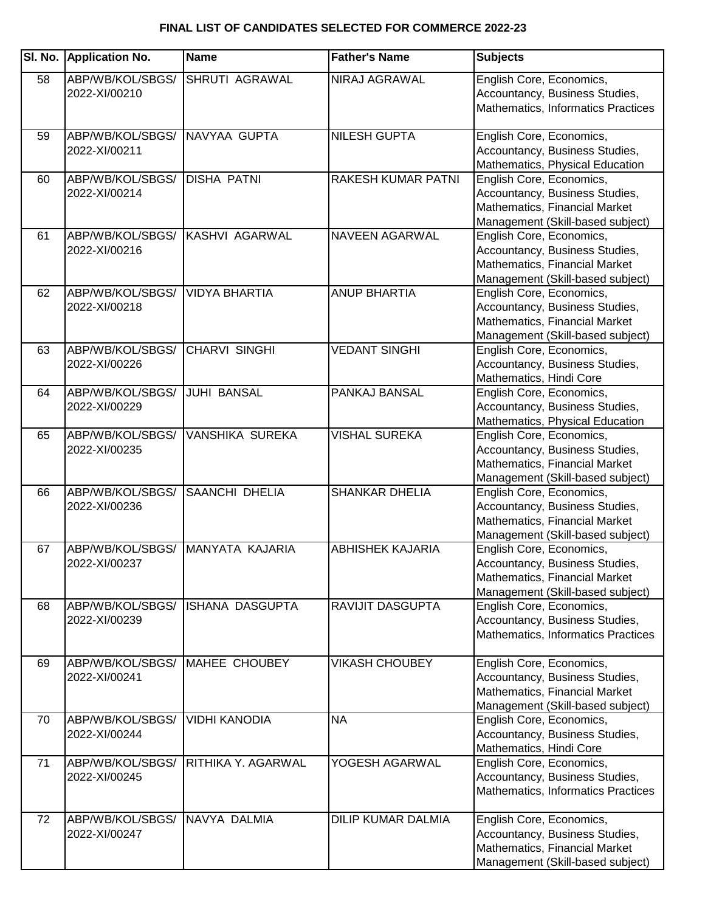| SI. No. | <b>Application No.</b>            | <b>Name</b>            | <b>Father's Name</b>      | <b>Subjects</b>                                                                                                                 |
|---------|-----------------------------------|------------------------|---------------------------|---------------------------------------------------------------------------------------------------------------------------------|
| 58      | ABP/WB/KOL/SBGS/<br>2022-XI/00210 | <b>SHRUTI AGRAWAL</b>  | NIRAJ AGRAWAL             | English Core, Economics,<br>Accountancy, Business Studies,<br>Mathematics, Informatics Practices                                |
| 59      | ABP/WB/KOL/SBGS/<br>2022-XI/00211 | NAVYAA GUPTA           | <b>NILESH GUPTA</b>       | English Core, Economics,<br>Accountancy, Business Studies,<br>Mathematics, Physical Education                                   |
| 60      | ABP/WB/KOL/SBGS/<br>2022-XI/00214 | <b>DISHA PATNI</b>     | RAKESH KUMAR PATNI        | English Core, Economics,<br>Accountancy, Business Studies,<br>Mathematics, Financial Market<br>Management (Skill-based subject) |
| 61      | ABP/WB/KOL/SBGS/<br>2022-XI/00216 | KASHVI AGARWAL         | NAVEEN AGARWAL            | English Core, Economics,<br>Accountancy, Business Studies,<br>Mathematics, Financial Market<br>Management (Skill-based subject) |
| 62      | ABP/WB/KOL/SBGS/<br>2022-XI/00218 | <b>VIDYA BHARTIA</b>   | <b>ANUP BHARTIA</b>       | English Core, Economics,<br>Accountancy, Business Studies,<br>Mathematics, Financial Market<br>Management (Skill-based subject) |
| 63      | ABP/WB/KOL/SBGS/<br>2022-XI/00226 | <b>CHARVI SINGHI</b>   | <b>VEDANT SINGHI</b>      | English Core, Economics,<br>Accountancy, Business Studies,<br>Mathematics, Hindi Core                                           |
| 64      | ABP/WB/KOL/SBGS/<br>2022-XI/00229 | <b>JUHI BANSAL</b>     | PANKAJ BANSAL             | English Core, Economics,<br>Accountancy, Business Studies,<br>Mathematics, Physical Education                                   |
| 65      | ABP/WB/KOL/SBGS/<br>2022-XI/00235 | VANSHIKA SUREKA        | <b>VISHAL SUREKA</b>      | English Core, Economics,<br>Accountancy, Business Studies,<br>Mathematics, Financial Market<br>Management (Skill-based subject) |
| 66      | ABP/WB/KOL/SBGS/<br>2022-XI/00236 | <b>SAANCHI DHELIA</b>  | <b>SHANKAR DHELIA</b>     | English Core, Economics,<br>Accountancy, Business Studies,<br>Mathematics, Financial Market<br>Management (Skill-based subject) |
| 67      | ABP/WB/KOL/SBGS/<br>2022-XI/00237 | MANYATA KAJARIA        | <b>ABHISHEK KAJARIA</b>   | English Core, Economics,<br>Accountancy, Business Studies,<br>Mathematics, Financial Market<br>Management (Skill-based subject) |
| 68      | ABP/WB/KOL/SBGS/<br>2022-XI/00239 | <b>ISHANA DASGUPTA</b> | RAVIJIT DASGUPTA          | English Core, Economics,<br>Accountancy, Business Studies,<br>Mathematics, Informatics Practices                                |
| 69      | ABP/WB/KOL/SBGS/<br>2022-XI/00241 | <b>MAHEE CHOUBEY</b>   | <b>VIKASH CHOUBEY</b>     | English Core, Economics,<br>Accountancy, Business Studies,<br>Mathematics, Financial Market<br>Management (Skill-based subject) |
| 70      | ABP/WB/KOL/SBGS/<br>2022-XI/00244 | <b>VIDHI KANODIA</b>   | <b>NA</b>                 | English Core, Economics,<br>Accountancy, Business Studies,<br>Mathematics, Hindi Core                                           |
| 71      | ABP/WB/KOL/SBGS/<br>2022-XI/00245 | RITHIKA Y. AGARWAL     | YOGESH AGARWAL            | English Core, Economics,<br>Accountancy, Business Studies,<br>Mathematics, Informatics Practices                                |
| 72      | ABP/WB/KOL/SBGS/<br>2022-XI/00247 | NAVYA DALMIA           | <b>DILIP KUMAR DALMIA</b> | English Core, Economics,<br>Accountancy, Business Studies,<br>Mathematics, Financial Market<br>Management (Skill-based subject) |